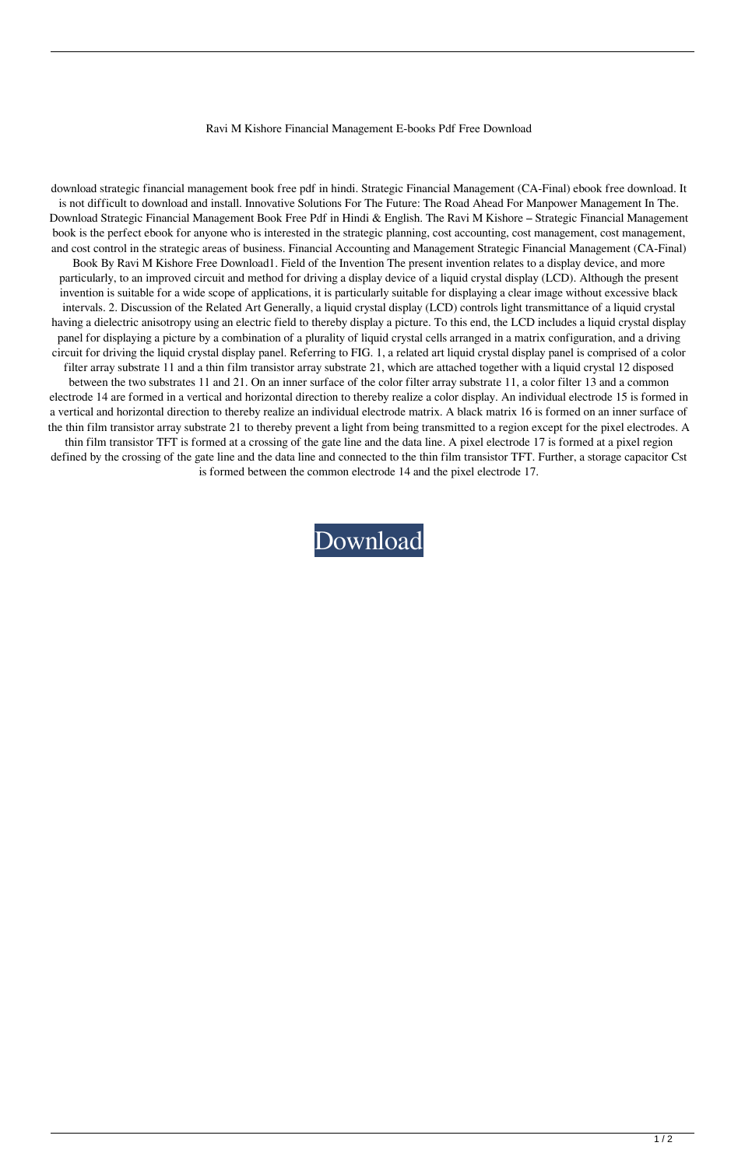## Ravi M Kishore Financial Management E-books Pdf Free Download

download strategic financial management book free pdf in hindi. Strategic Financial Management (CA-Final) ebook free download. It is not difficult to download and install. Innovative Solutions For The Future: The Road Ahead For Manpower Management In The. Download Strategic Financial Management Book Free Pdf in Hindi & English. The Ravi M Kishore – Strategic Financial Management book is the perfect ebook for anyone who is interested in the strategic planning, cost accounting, cost management, cost management, and cost control in the strategic areas of business. Financial Accounting and Management Strategic Financial Management (CA-Final) Book By Ravi M Kishore Free Download1. Field of the Invention The present invention relates to a display device, and more particularly, to an improved circuit and method for driving a display device of a liquid crystal display (LCD). Although the present invention is suitable for a wide scope of applications, it is particularly suitable for displaying a clear image without excessive black intervals. 2. Discussion of the Related Art Generally, a liquid crystal display (LCD) controls light transmittance of a liquid crystal having a dielectric anisotropy using an electric field to thereby display a picture. To this end, the LCD includes a liquid crystal display panel for displaying a picture by a combination of a plurality of liquid crystal cells arranged in a matrix configuration, and a driving circuit for driving the liquid crystal display panel. Referring to FIG. 1, a related art liquid crystal display panel is comprised of a color filter array substrate 11 and a thin film transistor array substrate 21, which are attached together with a liquid crystal 12 disposed between the two substrates 11 and 21. On an inner surface of the color filter array substrate 11, a color filter 13 and a common electrode 14 are formed in a vertical and horizontal direction to thereby realize a color display. An individual electrode 15 is formed in a vertical and horizontal direction to thereby realize an individual electrode matrix. A black matrix 16 is formed on an inner surface of the thin film transistor array substrate 21 to thereby prevent a light from being transmitted to a region except for the pixel electrodes. A thin film transistor TFT is formed at a crossing of the gate line and the data line. A pixel electrode 17 is formed at a pixel region defined by the crossing of the gate line and the data line and connected to the thin film transistor TFT. Further, a storage capacitor Cst is formed between the common electrode 14 and the pixel electrode 17.

[Download](http://evacdir.com/ZG93bmxvYWR8Ulc4TW1veGJueDhNVFkxTWpjME1EZzJObng4TWpVM05IeDhLRTBwSUhKbFlXUXRZbXh2WnlCYlJtRnpkQ0JIUlU1ZA/adhesives/asherman.collimation.communions.driven/cmF2aSBtIGtpc2hvcmUgZmluYW5jaWFsIG1hbmFnZW1lbnQgZS1ib29rcyBwZGYgZnJlZSBkb3dubG9hZAcmF/kilometer.canoeists)